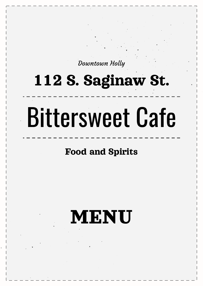Downtown Holly

## 112 S. Saginaw St.

# Bittersweet Cafe

## Food and Spirits

# MENU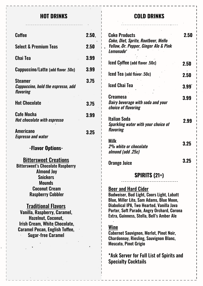#### **HOT DRINKS**

#### **COLD DRINKS**

| Coffee                                                                                                                                                                                                | 2.50, |  |
|-------------------------------------------------------------------------------------------------------------------------------------------------------------------------------------------------------|-------|--|
| <b>Select &amp; Premium Teas</b>                                                                                                                                                                      | 2.50  |  |
| Chai Tea                                                                                                                                                                                              | 3.99  |  |
| Cappuccino/Latte (add flavor .50c)                                                                                                                                                                    | 3.99  |  |
| Steamer<br><i>Cappuccino, hold the espresso, add</i><br>flavoring                                                                                                                                     | 3.75  |  |
| <b>Hot Chocolate</b>                                                                                                                                                                                  | 3.75  |  |
| <b>Cafe Mocha</b><br><b>Hot chocolate with espresso</b>                                                                                                                                               | 3.99  |  |
| <b>Americano</b><br><b>Espresso and water</b>                                                                                                                                                         | 3.25  |  |
| -Flavor Options-                                                                                                                                                                                      |       |  |
| <b>Bittersweet Creations</b><br><b>Bittersweet's Chocolate Raspberry</b><br><b>Almond Joy</b><br>Snickers<br>Mounds<br><b>Coconut Cream</b><br><b>Raspberry Cobbler</b>                               |       |  |
| <b>Traditional Flavors</b><br>Vanilla, Raspberry, Caramel,<br><b>Hazelnut, Coconut,</b><br><b>Irish Cream, White Chocolate,</b><br><b>Caramel Pecan, English Toffee,</b><br><b>Sugar-free Caramel</b> |       |  |
|                                                                                                                                                                                                       |       |  |

| <b>Coke Products</b><br>Coke, Diet, Sprite, Rootbeer, Mello<br>Yellow, Dr. Pepper, Ginger A1e & Pink<br>Lemonade <sup>r</sup> | 2.50              |
|-------------------------------------------------------------------------------------------------------------------------------|-------------------|
| <b>Iced Coffee (add flavor .50c)</b>                                                                                          | 2.50              |
| Iced Tea (add flavor .50c)                                                                                                    | 2.50              |
| <b>Iced Chai Tea</b>                                                                                                          | 3.99 <sup>°</sup> |
| <b>Creamosa</b><br>Dairy beverage with soda and your<br>choice of flavoring                                                   | 3.99              |
| Italian Soda<br><b>Sparkling water with your choice of</b><br>flavoring                                                       | 2.99              |
| Milk<br><i><b>2% white or chocolate</b></i><br>almond (add .25c)                                                              | 3.25              |
| <b>Orange Juice</b>                                                                                                           | 3.25              |

#### **SPIRITS (21+)**

### Beer and Hard Cider

Budweiser, Bud Light, Coors Light, Labatt Blue, Miller Lite, Sam Adams, Blue Moon, Diabolical IPA, Two Hearted, Vanilla Java Porter, Soft Parade, Angry Orchard, Corona Extra, Guinness, Stella, Bell's Amber Ale

#### Wine

Cabernet Sauvignon, Merlot, Pinot Noir, Chardonnay, Riesling, Sauvignon Blanc, Moscato, Pinot Grigio

\*Ask Server for Full List of Spirits and Specialty Cocktails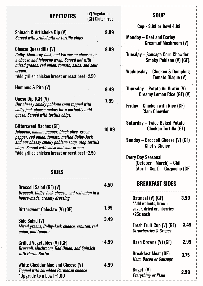| (V) Vegetarian<br><b>APPETIZERS</b>                                                                                                                                                             | (GF) Gluten Free  | <b>SOUP</b>                                                                                        |
|-------------------------------------------------------------------------------------------------------------------------------------------------------------------------------------------------|-------------------|----------------------------------------------------------------------------------------------------|
| Spinach & Artichoke Dip (V)<br>Served with grilled pita or tortilla chips                                                                                                                       | 9.99              | <b>Cup - 3.99 or Bowl 4.99</b><br><b>Monday – Beef and Barley</b><br><b>Cream, of Mushroom (V)</b> |
| <b>Cheese Quesadilla (V)</b><br><b>Colby, Monterey Jack, and Parmesan cheeses in</b><br>a cheese and jalapeno wrap. Served hot with<br>mixed greens, red onion, tomato, salsa, and sour         | 8.99              | <b>Tuesday – Sausage Corn Chowder</b><br><b>Smoky Poblano (V) (GF).</b>                            |
| cream.<br>*Add grilled chicken breast or roast beef +2.50                                                                                                                                       |                   | Wednesday – Chicken & Dumpling<br><b>Tomato Bisque (V)</b>                                         |
| Hummus & Pita (V)                                                                                                                                                                               | 9.49              | Thursday – Potato Au Gratin (V)<br><b>Creamy Lemon Rice (GF) (V)</b>                               |
| Queso Dip (GF) (V)<br>Our cheesy smoky poblano soup topped with<br>colby jack cheese makes for a perfectly mild<br>queso. Served with tortilla chips.                                           | 7.99              | <b>Friday – Chicken with Rice (GF)</b><br><b>Clam Chowder</b>                                      |
| <b>Bittersweet Nachos (GF)</b><br>Jalapeno, banana pepper, black olive, green                                                                                                                   | 10.99             | <b>Saturday – Twice Baked Potato</b><br>Chicken Tortilla (GF)                                      |
| pepper, red onion, tomato, melted Colby-Jack<br>and our cheesy smoky poblano soup, atop tortilla<br>chips. Served with salsa and sour cream.<br>*Add grilled chicken breast or roast beef +2.50 |                   | Sunday – Broccoli Cheese (V) (GF)<br><b>Chef's Choice</b>                                          |
| <b>SIDES</b>                                                                                                                                                                                    |                   | <b>Every Day Seasonal</b><br>(October - March) - Chili<br>(April - Sept) – Gazpacho (GF)           |
| . <u>.</u> .<br><b>Broccoli Salad (GF) (V)</b>                                                                                                                                                  | 4.50              | <b>BREAKFAST SIDES</b>                                                                             |
| <b>Broccoli, Colby-Jack cheese, and red onion in a</b><br>house-made, creamy dressing                                                                                                           |                   | 3.99<br>Oatmeal (V) (GF)<br>*Add walnuts, brown                                                    |
| Bittersweet Coleslaw (V) (GF)                                                                                                                                                                   | 1.99              | sugar, dried cranberries<br>$+25c$ each                                                            |
| Side Salad (V)<br>Mixed greens, Colby-Jack cheese, crouton, red<br>onion, and tomato                                                                                                            | 3.49 <sub>1</sub> | 3.49<br>Fresh Fruit Cup (V) (GF)<br><b>Strawberries &amp; Grapes</b>                               |
| Grilled Vegetables (V) (GF)<br><b>Broccoli, Mushroom, Red Onion, and Spinach</b>                                                                                                                | $\cdot$ 4.99      | 2.99<br>Hash Browns (V) (GF)                                                                       |
| with Garlic Butter                                                                                                                                                                              |                   | <b>Breakfast Meat (GF)</b><br>3.75<br><b>Ham, Bacon or Sausage</b>                                 |
| White Cheddar Mac and Cheese (V)<br><b>Topped with shredded Parmesan cheese</b><br>*Upgrade to a bowl +1.00                                                                                     | 4.99              | Bagel (V)<br>2.99<br><b>Everything or Plain</b>                                                    |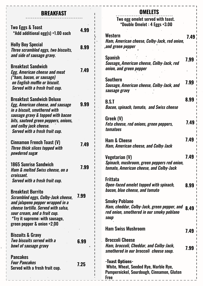#### **BREAKFAST**

 $\mathbf{I}$ 

| Two Eggs & Toast<br>*Add additional egg(s) +1.00 each                                                                                                                                                                                                 | 4.99 |
|-------------------------------------------------------------------------------------------------------------------------------------------------------------------------------------------------------------------------------------------------------|------|
| <b>Holly Boy Special</b><br>Three scrambled eggs, two biscuits,<br>and side of sausage gravy.                                                                                                                                                         | 8.99 |
| <b>Breakfast Sandwich</b><br><b>Egg, American cheese and meat</b><br>(*ham, bacon, or sausage)<br>on English muffin or biscuit.<br>Served with a fresh fruit cup.                                                                                     | 7.49 |
| <b>Breakfast Sandwich Deluxe</b><br><b>Egg, American cheese, and sausage</b><br>in a biscuit, smothered with<br>sausage gravy & topped with bacon<br>bits, sauteed green peppers, onions,<br>and colby jack cheese.<br>Served with a fresh fruit cup. | 9.99 |
| <b>Cinnamon French Toast (V)</b><br><b>Three thick slices topped with</b><br><i>powdered suga</i> r                                                                                                                                                   | 7.49 |
| 1865 Sunrise Sandwich<br><b>Ham &amp; melted Swiss cheese, on a</b><br>croissant.<br>Served with a fresh fruit cup.                                                                                                                                   | 7.99 |
| <b>Breakfast Burrito</b><br>Scrambled eggs, Colby-Jack cheese,<br>and jalapeno pepper wrapped in a<br>cheese tortilla. Served with salsa,<br>sour cream, and a fruit cup.<br>*Try it supreme: with sausage,<br>green pepper & onion +2.00             | 7.99 |
| <b>Biscuits &amp; Gravy</b><br>Two biscuits served with a<br>bowl of sausage gravy                                                                                                                                                                    | 6.99 |
| <b>Pancakes</b><br><b>Four Pancakes</b><br>Served with a fresh fruit cup.                                                                                                                                                                             | 7.25 |

#### **OMELETS**

Two egg omelet served with toast. \*Double Omelet : 4 Eggs +3.00

| Western<br>Ham, American cheese, Colby-Jack, red onion,<br>and green pepper.                                             | 7.49 |
|--------------------------------------------------------------------------------------------------------------------------|------|
| <b>Spanish</b><br>Sausage, American cheese, Colby-Jack, red<br>onion, and green pepper                                   | 7.99 |
| Southern<br>Sausage, American cheese, Colby-Jack, and<br>sausage gravy                                                   | 7.99 |
| <b>B.S.T</b><br><b>Bacon, spinach, tomato, and Swiss cheese</b>                                                          | 8.99 |
| Greek (V)<br>Feta cheese, red onions, green peppers,<br>tomatoes                                                         | 7.49 |
| <b>Ham &amp; Cheese</b><br>Ham, American cheese, and Colby-Jack                                                          | 7.49 |
| Vegetarian (V)<br>Spinach, mushroom, green peppers red onion,<br>tomato, American cheese, and Colby-Jack                 | 7.49 |
| Frittata<br>Open-faced omelet topped with spinach,<br>bacon, blue cheese, and tomato                                     | 8.99 |
| <b>Smoky Poblano</b><br>Ham, cheddar, Colby-Jack, green pepper, and<br>red onion, smothered in our smoky poblano<br>soup | 8.49 |
| <b>Ham Swiss Mushroom</b>                                                                                                | 7.49 |
| <b>Broccoli Cheese</b><br>Ham, broccoli, Cheddar, and Colby-Jack,<br>smothered in our broccoli cheese soup.              | 7.99 |
| -Toast Options-<br>White, Wheat, Seeded Rye, Marble Rye,<br>Pumpernickel, Sourdough, Cinnamon, Gluten<br>Free            |      |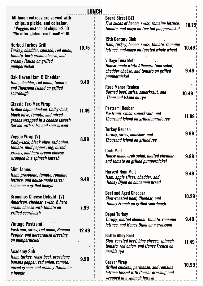|                                                                                                                                                       | LUNCH |                                                                                                                                                  |       |
|-------------------------------------------------------------------------------------------------------------------------------------------------------|-------|--------------------------------------------------------------------------------------------------------------------------------------------------|-------|
| All lunch entrees are served with<br>chips, a pickle, and coleslaw.<br><i>*</i> Veggies instead of chips +2.50<br>*We offer gluten free bread! +1.00  |       | <b>Broad Street BLT</b><br>Five slices of bacon, swiss, romaine lettuce,<br>tomato, and mayo on toasted pumpernickel<br><b>19th Century Club</b> | 10.75 |
| <b>Herbed Turkey Grill</b><br>Turkey, cheddar, spinach, red onion,<br>tomato, herb cream cheese, and                                                  | 10.75 | Ham, turkey, bacon, swiss, tomato, romaine<br><b>lettuce, and mayo on toasted whole wheat</b>                                                    | 10.49 |
| creamy Italian on grilled<br>pumpernickel                                                                                                             |       | <b>Village Tuna Melt</b><br>House-made white Albacore tuna salad,<br>cheddar cheese, and tomato on grilled                                       | 9.49  |
| <b>Oak Haven Ham &amp; Cheddar</b><br>Ham, cheddar, red onion, tomato,<br>and Thousand Island on grilled                                              | 9.49  | pumpernickel<br><b>Rose Manor Reuben</b>                                                                                                         |       |
| sourdough<br><b>Classic Tex-Mex Wrap</b>                                                                                                              |       | <b>Corned beef, swiss, sauerkraut, and</b><br><b>Thousand Island on rye</b>                                                                      | 10.49 |
| Grilled cajun chicken, Colby-Jack,<br>black olive, tomato, and mixed<br>greens wrapped in a cheese lawash.<br><b>Served with salsa and sour cream</b> | 11.49 | <b>Pastrami Reuben</b><br>Pastrami, swiss, sauerkraut, and<br><b>Thousand Island on grilled marble rye</b>                                       | 11.99 |
| Veggie Wrap (V)<br>Colby-Jack, black olive, red onion,                                                                                                | 8.99  | <b>Turkey Reuben</b><br>Turkey, swiss, coleslaw, and<br><b>Thousand Island on grilled rye</b>                                                    | 9.99  |
| tomato, mild pepper ring, mixed<br>greens, and herb cream cheese<br>wrapped in a spinach lawash                                                       |       | <b>Crab Melt</b><br>House made crab salad, melted cheddar,<br>and tomato on grilled pumpernickel                                                 | 9.99  |
| <b>Slim James</b><br>Ham, provolone, tomato, romaine<br>lettuce, and house-made tartar<br>sauce on a grilled hoagie                                   | 9.49  | <b>Harvest Ham Melt</b><br>Ham, apple slices, cheddar, and<br><b>Honey Dijon on cinnamon bread</b>                                               | 9.49  |
| <b>Bronchos Cheese Delight (V)</b><br>American, cheddar, swiss, & herb<br>cream cheese with tomato on                                                 | 7.99  | <b>Beef and Aged Cheddar</b><br><b>Slow-roasted beef, Cheddar, and</b><br><b>Honey French on grilled sourdough</b>                               | 10.29 |
| grilled sourdough<br>Vintage Pastrami<br>Pastrami, swiss, red onion, Banana                                                                           |       | <b>Depot Turkey</b><br>Turkey, melted cheddar, tomato, romaine<br><i>lettuce, and Honey Dijon on a croissant</i>                                 | 9.49  |
| <b>Pepper, and horseradish dressing</b><br>on pumpernickel                                                                                            | 12.49 | <b>Battle Alley Beef</b><br>Slow-roasted beef, blue cheese, spinach,<br>tomato, red onion, and Honey French on                                   | 11.49 |
| <b>Academy Sub</b><br>Ham, turkey, roast beef, provolone,<br>banana pepper, red onion, tomato,                                                        | 9.99  | marble rye<br><b>Caesar Wrap</b>                                                                                                                 |       |
| mixed greens and creamy Italian on<br>a hoagie                                                                                                        |       | Grilled chicken, parmesan, and romaine<br>lettuce tossed with Caesar dressing and<br><u>wrapped in a spinach lawash</u>                          | 10.99 |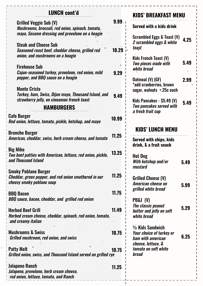| <b>LUNCH cont'd</b>                                                                                               |        | <b>KIDS' BREAKFAST MENU</b>                                                                        |      |
|-------------------------------------------------------------------------------------------------------------------|--------|----------------------------------------------------------------------------------------------------|------|
| <b>Grilled Veggie Sub (V)</b><br>Mushrooms, broccoli, red onion, spinach, tomato,                                 | 9.99.1 | <b>Served with a kids drink</b>                                                                    |      |
| mayo, Sesame dressing and provolone on a hoagie<br><b>Steak and Cheese Sub</b>                                    |        | <b>Scrambled Eggs &amp; Toast (V)</b><br>2 scrambled eggs & white<br>toast                         | 4.25 |
| Seasoned roast beef, cheddar cheese, grilled red<br>onion, and mushrooms on a hoagie                              | 10.29  | Kids French Toast (V)<br>Two pieces made with                                                      | 5.49 |
| <b>Firehouse Sub</b><br>Cajun-seasoned turkey, provolone, red onion, mild<br>pepper, and BBQ sauce on a hoagie    | 9.29   | white bread<br>Oatmeal (V) (GF)                                                                    | 2.99 |
| <b>Monte Cristo</b><br>Turkey, ham, Swiss, Dijon mayo, Thousand Island, and                                       | 9.49   | *add cranberries, brown<br>sugar, walnuts +.25c each                                               |      |
| strawberry jelly, on cinnamon french toast<br><b>HAMBURGERS</b>                                                   |        | Kids Pancakes - \$5.49 (V)<br><b>Two pancakes served with</b><br>a fresh fruit cup                 | 5.49 |
| <b>Cafe Burger</b><br>Red onion, lettuce, tomato, pickle, ketchup, and mayo                                       | 10.99  | <b>KIDS' LUNCH MENU</b>                                                                            |      |
| <b>Broncho Burger</b><br>American, cheddar, swiss, herb cream cheese, and tomato                                  | 11.25  | <b>Served with chips, kids</b><br>drink, & a fruit snack                                           |      |
| <b>Big Mike</b><br>Two beef patties with American, lettuce, red onion, pickle,<br>and Thousand Island             | 13.25  | <b>Hot Dog</b><br>With ketchup and/or<br>mustard                                                   | 5.49 |
| <b>Smoky Poblano Burger</b><br>Cheddar, green pepper, and red onion smothered in our<br>cheesy smoky poblano soup | 11.25  | <b>Grilled Cheese (V)</b><br>American cheese on<br>grilled white bread                             | 5.99 |
| <b>BBQ Bacon</b><br><b>BBQ</b> sauce, bacon, cheddar, and grilled red onion                                       | 11.75  | <b>PB&amp;J</b> (V)<br>The classic peanut                                                          |      |
| <b>Herbed Beef Grill</b><br>Herbed cream cheese, cheddar, spinach, red onion, tomato,<br>and creamy italian       | 11.49  | butter and jelly on soft<br>white bread                                                            | 5.29 |
| <b>Mushrooms &amp; Swiss</b><br><b>Grilled mushroom, red onion, and swiss</b>                                     | 10.75  | $\frac{1}{2}$ Kids Sandwich<br>Your choice of turkey or<br>ham with american<br>cheese, lettuce, & | 6.25 |
| <b>Patty Melt</b><br>Grilled onion, swiss, and Thousand Island served on grilled rye                              | 10.75  | tomato on soft white<br><b>bread</b>                                                               |      |
| Jalapeno Ranch<br>Jalapeno, provolone, herb cream cheese,<br>red onion, lettuce, tomato, and Ranch                | 11.25  |                                                                                                    |      |